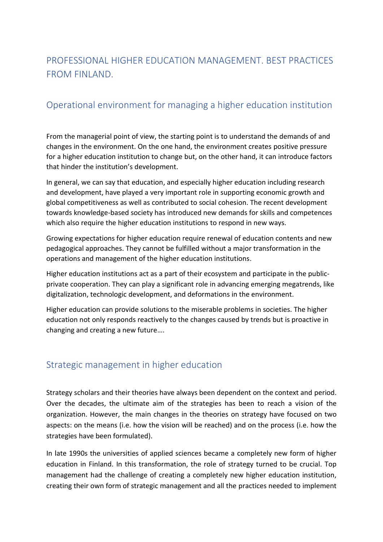## PROFESSIONAL HIGHER EDUCATION MANAGEMENT. BEST PRACTICES FROM FINLAND.

## Operational environment for managing a higher education institution

From the managerial point of view, the starting point is to understand the demands of and changes in the environment. On the one hand, the environment creates positive pressure for a higher education institution to change but, on the other hand, it can introduce factors that hinder the institution's development.

In general, we can say that education, and especially higher education including research and development, have played a very important role in supporting economic growth and global competitiveness as well as contributed to social cohesion. The recent development towards knowledge-based society has introduced new demands for skills and competences which also require the higher education institutions to respond in new ways.

Growing expectations for higher education require renewal of education contents and new pedagogical approaches. They cannot be fulfilled without a major transformation in the operations and management of the higher education institutions.

Higher education institutions act as a part of their ecosystem and participate in the publicprivate cooperation. They can play a significant role in advancing emerging megatrends, like digitalization, technologic development, and deformations in the environment.

Higher education can provide solutions to the miserable problems in societies. The higher education not only responds reactively to the changes caused by trends but is proactive in changing and creating a new future….

## Strategic management in higher education

Strategy scholars and their theories have always been dependent on the context and period. Over the decades, the ultimate aim of the strategies has been to reach a vision of the organization. However, the main changes in the theories on strategy have focused on two aspects: on the means (i.e. how the vision will be reached) and on the process (i.e. how the strategies have been formulated).

In late 1990s the universities of applied sciences became a completely new form of higher education in Finland. In this transformation, the role of strategy turned to be crucial. Top management had the challenge of creating a completely new higher education institution, creating their own form of strategic management and all the practices needed to implement